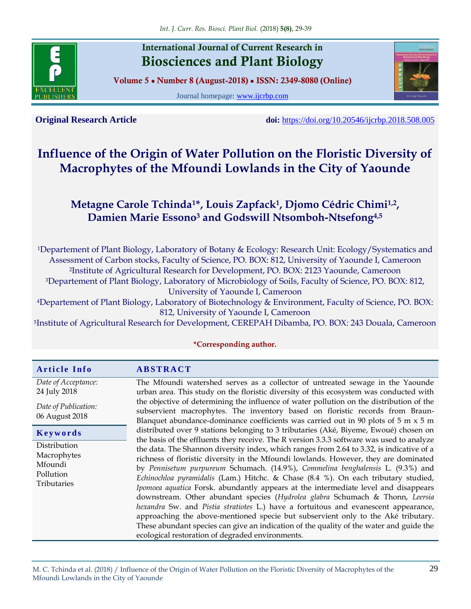

## **International Journal of Current Research in Biosciences and Plant Biology**

**Volume 5 ● Number 8 (August-2018) ● ISSN: 2349-8080 (Online)**

Journal homepage: [www.ijcrbp.com](http://www.ijcrbp.com/)



**Original Research Article doi:** <https://doi.org/10.20546/ijcrbp.2018.508.005>

# **Influence of the Origin of Water Pollution on the Floristic Diversity of Macrophytes of the Mfoundi Lowlands in the City of Yaounde**

## **Metagne Carole Tchinda1\*, Louis Zapfack<sup>1</sup> , Djomo Cédric Chimi1,2 , Damien Marie Essono<sup>3</sup> and Godswill Ntsomboh-Ntsefong4,5**

<sup>1</sup>Departement of Plant Biology, Laboratory of Botany & Ecology: Research Unit: Ecology/Systematics and Assessment of Carbon stocks, Faculty of Science, PO. BOX: 812, University of Yaounde I, Cameroon <sup>2</sup>Institute of Agricultural Research for Development, PO. BOX: 2123 Yaounde, Cameroon <sup>3</sup>Departement of Plant Biology, Laboratory of Microbiology of Soils, Faculty of Science, PO. BOX: 812, University of Yaounde I, Cameroon

<sup>4</sup>Departement of Plant Biology, Laboratory of Biotechnology & Environment, Faculty of Science, PO. BOX: 812, University of Yaounde I, Cameroon

<sup>5</sup>Institute of Agricultural Research for Development, CEREPAH Dibamba, PO. BOX: 243 Douala, Cameroon

| <b>Article Info</b>                                                           | <b>ABSTRACT</b>                                                                                                                                                                                                                                                                                                                                                                                                                                                                                                                                                                                                                                                                                                                                                                                                                                               |  |  |  |  |
|-------------------------------------------------------------------------------|---------------------------------------------------------------------------------------------------------------------------------------------------------------------------------------------------------------------------------------------------------------------------------------------------------------------------------------------------------------------------------------------------------------------------------------------------------------------------------------------------------------------------------------------------------------------------------------------------------------------------------------------------------------------------------------------------------------------------------------------------------------------------------------------------------------------------------------------------------------|--|--|--|--|
| Date of Acceptance:<br>24 July 2018<br>Date of Publication:<br>06 August 2018 | The Mfoundi watershed serves as a collector of untreated sewage in the Yaounde<br>urban area. This study on the floristic diversity of this ecosystem was conducted with<br>the objective of determining the influence of water pollution on the distribution of the<br>subservient macrophytes. The inventory based on floristic records from Braun-<br>Blanquet abundance-dominance coefficients was carried out in 90 plots of 5 m $\times$ 5 m                                                                                                                                                                                                                                                                                                                                                                                                            |  |  |  |  |
| Keywords                                                                      | distributed over 9 stations belonging to 3 tributaries (Aké, Biyeme, Ewoué) chosen on<br>the basis of the effluents they receive. The R version 3.3.3 software was used to analyze                                                                                                                                                                                                                                                                                                                                                                                                                                                                                                                                                                                                                                                                            |  |  |  |  |
| Distribution<br>Macrophytes<br>Mfoundi<br>Pollution<br><b>Tributaries</b>     | the data. The Shannon diversity index, which ranges from 2.64 to 3.32, is indicative of a<br>richness of floristic diversity in the Mfoundi lowlands. However, they are dominated<br>by Pennisetum purpureum Schumach. (14.9%), Commelina benghalensis L. (9.3%) and<br>Echinochloa pyramidalis (Lam.) Hitchc. & Chase (8.4 %). On each tributary studied,<br>Ipomoea aquatica Forsk. abundantly appears at the intermediate level and disappears<br>downstream. Other abundant species (Hydrolea glabra Schumach & Thonn, Leersia<br>hexandra Sw. and Pistia stratiotes L.) have a fortuitous and evanescent appearance,<br>approaching the above-mentioned specie but subservient only to the Aké tributary.<br>These abundant species can give an indication of the quality of the water and guide the<br>ecological restoration of degraded environments. |  |  |  |  |

#### **\*Corresponding author.**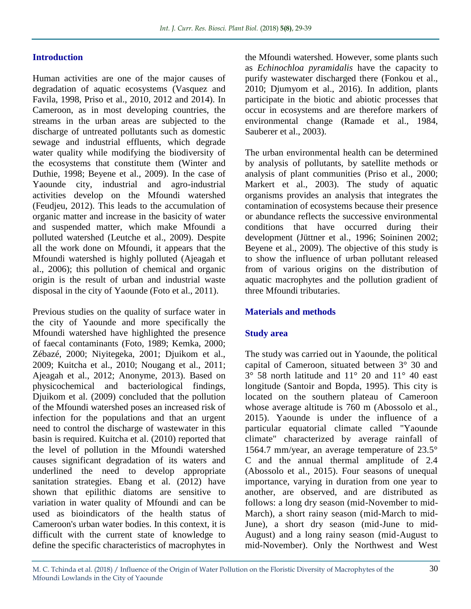#### **Introduction**

Human activities are one of the major causes of degradation of aquatic ecosystems (Vasquez and Favila, 1998, Priso et al., 2010, 2012 and 2014). In Cameroon, as in most developing countries, the streams in the urban areas are subjected to the discharge of untreated pollutants such as domestic sewage and industrial effluents, which degrade water quality while modifying the biodiversity of the ecosystems that constitute them (Winter and Duthie, 1998; Beyene et al., 2009). In the case of Yaounde city, industrial and agro-industrial activities develop on the Mfoundi watershed (Feudjeu, 2012). This leads to the accumulation of organic matter and increase in the basicity of water and suspended matter, which make Mfoundi a polluted watershed (Leutche et al., 2009). Despite all the work done on Mfoundi, it appears that the Mfoundi watershed is highly polluted (Ajeagah et al., 2006); this pollution of chemical and organic origin is the result of urban and industrial waste disposal in the city of Yaounde (Foto et al., 2011).

Previous studies on the quality of surface water in the city of Yaounde and more specifically the Mfoundi watershed have highlighted the presence of faecal contaminants (Foto, 1989; Kemka, 2000; Zébazé, 2000; Niyitegeka, 2001; Djuikom et al., 2009; Kuitcha et al., 2010; Nougang et al., 2011; Ajeagah et al., 2012; Anonyme, 2013). Based on physicochemical and bacteriological findings, Djuikom et al. (2009) concluded that the pollution of the Mfoundi watershed poses an increased risk of infection for the populations and that an urgent need to control the discharge of wastewater in this basin is required. Kuitcha et al. (2010) reported that the level of pollution in the Mfoundi watershed causes significant degradation of its waters and underlined the need to develop appropriate sanitation strategies. Ebang et al. (2012) have shown that epilithic diatoms are sensitive to variation in water quality of Mfoundi and can be used as bioindicators of the health status of Cameroon's urban water bodies. In this context, it is difficult with the current state of knowledge to define the specific characteristics of macrophytes in

the Mfoundi watershed. However, some plants such as *Echinochloa pyramidalis* have the capacity to purify wastewater discharged there (Fonkou et al., 2010; Djumyom et al., 2016). In addition, plants participate in the biotic and abiotic processes that occur in ecosystems and are therefore markers of environmental change (Ramade et al., 1984, Sauberer et al., 2003).

The urban environmental health can be determined by analysis of pollutants, by satellite methods or analysis of plant communities (Priso et al., 2000; Markert et al., 2003). The study of aquatic organisms provides an analysis that integrates the contamination of ecosystems because their presence or abundance reflects the successive environmental conditions that have occurred during their development (Jüttner et al., 1996; Soininen 2002; Beyene et al., 2009). The objective of this study is to show the influence of urban pollutant released from of various origins on the distribution of aquatic macrophytes and the pollution gradient of three Mfoundi tributaries.

#### **Materials and methods**

#### **Study area**

The study was carried out in Yaounde, the political capital of Cameroon, situated between 3° 30 and 3° 58 north latitude and 11° 20 and 11° 40 east longitude (Santoir and Bopda, 1995). This city is located on the southern plateau of Cameroon whose average altitude is 760 m (Abossolo et al., 2015). Yaounde is under the influence of a particular equatorial climate called "Yaounde climate" characterized by average rainfall of 1564.7 mm/year, an average temperature of 23.5° C and the annual thermal amplitude of 2.4 (Abossolo et al., 2015). Four seasons of unequal importance, varying in duration from one year to another, are observed, and are distributed as follows: a long dry season (mid-November to mid-March), a short rainy season (mid-March to mid-June), a short dry season (mid-June to mid-August) and a long rainy season (mid-August to mid-November). Only the Northwest and West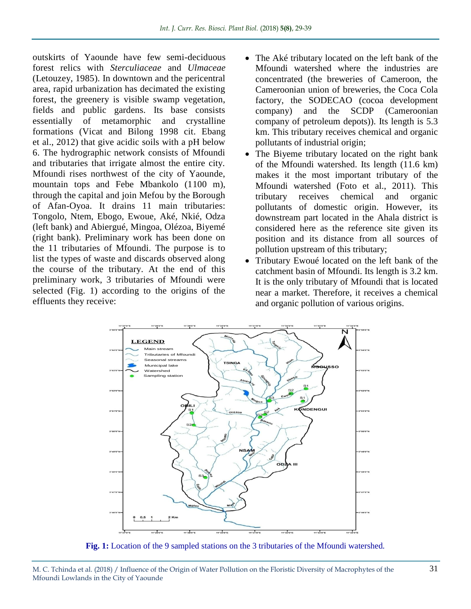outskirts of Yaounde have few semi-deciduous forest relics with *Sterculiaceae* and *Ulmaceae* (Letouzey, 1985). In downtown and the pericentral area, rapid urbanization has decimated the existing forest, the greenery is visible swamp vegetation, fields and public gardens. Its base consists essentially of metamorphic and crystalline formations (Vicat and Bilong 1998 cit. Ebang et al., 2012) that give acidic soils with a pH below 6. The hydrographic network consists of Mfoundi and tributaries that irrigate almost the entire city. Mfoundi rises northwest of the city of Yaounde, mountain tops and Febe Mbankolo (1100 m), through the capital and join Mefou by the Borough of Afan-Oyoa. It drains 11 main tributaries: Tongolo, Ntem, Ebogo, Ewoue, Aké, Nkié, Odza (left bank) and Abiergué, Mingoa, Olézoa, Biyemé (right bank). Preliminary work has been done on the 11 tributaries of Mfoundi. The purpose is to list the types of waste and discards observed along the course of the tributary. At the end of this preliminary work, 3 tributaries of Mfoundi were selected (Fig. 1) according to the origins of the effluents they receive:

- The Aké tributary located on the left bank of the Mfoundi watershed where the industries are concentrated (the breweries of Cameroon, the Cameroonian union of breweries, the Coca Cola factory, the SODECAO (cocoa development company) and the SCDP (Cameroonian company of petroleum depots)). Its length is 5.3 km. This tributary receives chemical and organic pollutants of industrial origin;
- The Biyeme tributary located on the right bank of the Mfoundi watershed. Its length (11.6 km) makes it the most important tributary of the Mfoundi watershed (Foto et al., 2011). This tributary receives chemical and organic pollutants of domestic origin. However, its downstream part located in the Ahala district is considered here as the reference site given its position and its distance from all sources of pollution upstream of this tributary;
- Tributary Ewoué located on the left bank of the catchment basin of Mfoundi. Its length is 3.2 km. It is the only tributary of Mfoundi that is located near a market. Therefore, it receives a chemical and organic pollution of various origins.



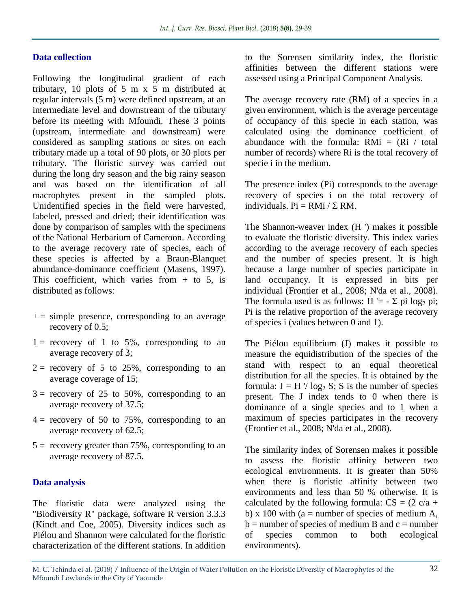#### **Data collection**

Following the longitudinal gradient of each tributary, 10 plots of 5 m x 5 m distributed at regular intervals (5 m) were defined upstream, at an intermediate level and downstream of the tributary before its meeting with Mfoundi. These 3 points (upstream, intermediate and downstream) were considered as sampling stations or sites on each tributary made up a total of 90 plots, or 30 plots per tributary. The floristic survey was carried out during the long dry season and the big rainy season and was based on the identification of all macrophytes present in the sampled plots. Unidentified species in the field were harvested, labeled, pressed and dried; their identification was done by comparison of samples with the specimens of the National Herbarium of Cameroon. According to the average recovery rate of species, each of these species is affected by a Braun-Blanquet abundance-dominance coefficient (Masens, 1997). This coefficient, which varies from  $+$  to 5, is distributed as follows:

- $+=$  simple presence, corresponding to an average recovery of 0.5;
- $1 =$  recovery of 1 to 5%, corresponding to an average recovery of 3;
- $2 =$  recovery of 5 to 25%, corresponding to an average coverage of 15;
- $3 =$  recovery of 25 to 50%, corresponding to an average recovery of 37.5;
- $4 =$  recovery of 50 to 75%, corresponding to an average recovery of 62.5;
- $5 =$  recovery greater than 75%, corresponding to an average recovery of 87.5.

#### **Data analysis**

The floristic data were analyzed using the "Biodiversity R" package, software R version 3.3.3 (Kindt and Coe, 2005). Diversity indices such as Piélou and Shannon were calculated for the floristic characterization of the different stations. In addition to the Sorensen similarity index, the floristic affinities between the different stations were assessed using a Principal Component Analysis.

The average recovery rate (RM) of a species in a given environment, which is the average percentage of occupancy of this specie in each station, was calculated using the dominance coefficient of abundance with the formula:  $RMi = (Ri / total)$ number of records) where Ri is the total recovery of specie i in the medium.

The presence index (Pi) corresponds to the average recovery of species i on the total recovery of individuals.  $Pi = RMi / \Sigma RM$ .

The Shannon-weaver index (H ') makes it possible to evaluate the floristic diversity. This index varies according to the average recovery of each species and the number of species present. It is high because a large number of species participate in land occupancy. It is expressed in bits per individual (Frontier et al., 2008; N'da et al., 2008). The formula used is as follows: H '=  $- \Sigma$  pi log<sub>2</sub> pi; Pi is the relative proportion of the average recovery of species i (values between 0 and 1).

The Piélou equilibrium (J) makes it possible to measure the equidistribution of the species of the stand with respect to an equal theoretical distribution for all the species. It is obtained by the formula:  $J = H'/\log_2 S$ ; S is the number of species present. The J index tends to 0 when there is dominance of a single species and to 1 when a maximum of species participates in the recovery (Frontier et al., 2008; N'da et al., 2008).

The similarity index of Sorensen makes it possible to assess the floristic affinity between two ecological environments. It is greater than 50% when there is floristic affinity between two environments and less than 50 % otherwise. It is calculated by the following formula:  $CS = (2 \text{ c/a} +$ b) x 100 with ( $a =$  number of species of medium A,  $b =$  number of species of medium B and  $c =$  number of species common to both ecological environments).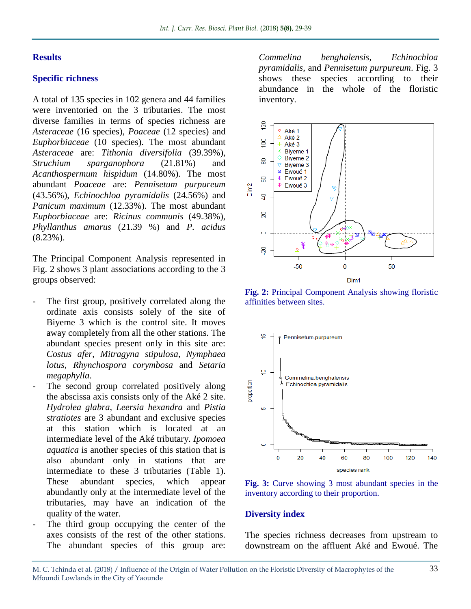#### **Results**

#### **Specific richness**

A total of 135 species in 102 genera and 44 families were inventoried on the 3 tributaries. The most diverse families in terms of species richness are *Asteraceae* (16 species), *Poaceae* (12 species) and *Euphorbiaceae* (10 species). The most abundant *Asteraceae* are: *Tithonia diversifolia* (39.39%), *Struchium sparganophora* (21.81%) and *Acanthospermum hispidum* (14.80%). The most abundant *Poaceae* are: *Pennisetum purpureum*  (43.56%), *Echinochloa pyramidalis* (24.56%) and *Panicum maximum* (12.33%). The most abundant *Euphorbiaceae* are: *Ricinus communis* (49.38%), *Phyllanthus amarus* (21.39 %) and *P. acidus*  (8.23%).

The Principal Component Analysis represented in Fig. 2 shows 3 plant associations according to the 3 groups observed:

- The first group, positively correlated along the ordinate axis consists solely of the site of Biyeme 3 which is the control site. It moves away completely from all the other stations. The abundant species present only in this site are: *Costus afer*, *Mitragyna stipulosa*, *Nymphaea lotus*, *Rhynchospora corymbosa* and *Setaria megaphylla*.
- The second group correlated positively along the abscissa axis consists only of the Aké 2 site. *Hydrolea glabra*, *Leersia hexandra* and *Pistia stratiotes* are 3 abundant and exclusive species at this station which is located at an intermediate level of the Aké tributary. *Ipomoea aquatica* is another species of this station that is also abundant only in stations that are intermediate to these 3 tributaries (Table 1). These abundant species, which appear abundantly only at the intermediate level of the tributaries, may have an indication of the quality of the water.
- The third group occupying the center of the axes consists of the rest of the other stations. The abundant species of this group are:

*Commelina benghalensis*, *Echinochloa pyramidalis*, and *Pennisetum purpureum*. Fig. 3 shows these species according to their abundance in the whole of the floristic inventory.



**Fig. 2:** Principal Component Analysis showing floristic affinities between sites.



**Fig. 3:** Curve showing 3 most abundant species in the inventory according to their proportion.

#### **Diversity index**

The species richness decreases from upstream to downstream on the affluent Aké and Ewoué. The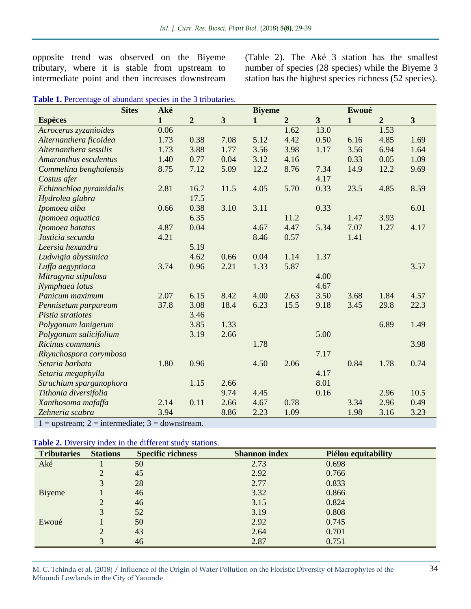opposite trend was observed on the Biyeme tributary, where it is stable from upstream to intermediate point and then increases downstream (Table 2). The Aké 3 station has the smallest number of species (28 species) while the Biyeme 3 station has the highest species richness (52 species).

| <b>Sites</b>             | Aké          | <b>Biyeme</b>  |                         |              |                | Ewoué                   |              |                |                         |
|--------------------------|--------------|----------------|-------------------------|--------------|----------------|-------------------------|--------------|----------------|-------------------------|
| <b>Espèces</b>           | $\mathbf{1}$ | $\overline{2}$ | $\overline{\mathbf{3}}$ | $\mathbf{1}$ | $\overline{2}$ | $\overline{\mathbf{3}}$ | $\mathbf{1}$ | $\overline{2}$ | $\overline{\mathbf{3}}$ |
| Acroceras zyzanioides    | 0.06         |                |                         |              | 1.62           | 13.0                    |              | 1.53           |                         |
| Alternanthera ficoidea   | 1.73         | 0.38           | 7.08                    | 5.12         | 4.42           | 0.50                    | 6.16         | 4.85           | 1.69                    |
| Alternanthera sessilis   | 1.73         | 3.88           | 1.77                    | 3.56         | 3.98           | 1.17                    | 3.56         | 6.94           | 1.64                    |
| Amaranthus esculentus    | 1.40         | 0.77           | 0.04                    | 3.12         | 4.16           |                         | 0.33         | 0.05           | 1.09                    |
| Commelina benghalensis   | 8.75         | 7.12           | 5.09                    | 12.2         | 8.76           | 7.34                    | 14.9         | 12.2           | 9.69                    |
| Costus afer              |              |                |                         |              |                | 4.17                    |              |                |                         |
| Echinochloa pyramidalis  | 2.81         | 16.7           | 11.5                    | 4.05         | 5.70           | 0.33                    | 23.5         | 4.85           | 8.59                    |
| Hydrolea glabra          |              | 17.5           |                         |              |                |                         |              |                |                         |
| Ipomoea alba             | 0.66         | 0.38           | 3.10                    | 3.11         |                | 0.33                    |              |                | 6.01                    |
| Ipomoea aquatica         |              | 6.35           |                         |              | 11.2           |                         | 1.47         | 3.93           |                         |
| Ipomoea batatas          | 4.87         | 0.04           |                         | 4.67         | 4.47           | 5.34                    | 7.07         | 1.27           | 4.17                    |
| Justicia secunda         | 4.21         |                |                         | 8.46         | 0.57           |                         | 1.41         |                |                         |
| Leersia hexandra         |              | 5.19           |                         |              |                |                         |              |                |                         |
| Ludwigia abyssinica      |              | 4.62           | 0.66                    | 0.04         | 1.14           | 1.37                    |              |                |                         |
| Luffa aegyptiaca         | 3.74         | 0.96           | 2.21                    | 1.33         | 5.87           |                         |              |                | 3.57                    |
| Mitragyna stipulosa      |              |                |                         |              |                | 4.00                    |              |                |                         |
| Nymphaea lotus           |              |                |                         |              |                | 4.67                    |              |                |                         |
| Panicum maximum          | 2.07         | 6.15           | 8.42                    | 4.00         | 2.63           | 3.50                    | 3.68         | 1.84           | 4.57                    |
| Pennisetum purpureum     | 37.8         | 3.08           | 18.4                    | 6.23         | 15.5           | 9.18                    | 3.45         | 29.8           | 22.3                    |
| <i>Pistia stratiotes</i> |              | 3.46           |                         |              |                |                         |              |                |                         |
| Polygonum lanigerum      |              | 3.85           | 1.33                    |              |                |                         |              | 6.89           | 1.49                    |
| Polygonum salicifolium   |              | 3.19           | 2.66                    |              |                | 5.00                    |              |                |                         |
| Ricinus communis         |              |                |                         | 1.78         |                |                         |              |                | 3.98                    |
| Rhynchospora corymbosa   |              |                |                         |              |                | 7.17                    |              |                |                         |
| Setaria barbata          | 1.80         | 0.96           |                         | 4.50         | 2.06           |                         | 0.84         | 1.78           | 0.74                    |
| Setaria megaphylla       |              |                |                         |              |                | 4.17                    |              |                |                         |
| Struchium sparganophora  |              | 1.15           | 2.66                    |              |                | 8.01                    |              |                |                         |
| Tithonia diversifolia    |              |                | 9.74                    | 4.45         |                | 0.16                    |              | 2.96           | 10.5                    |
| Xanthosoma mafaffa       | 2.14         | 0.11           | 2.66                    | 4.67         | 0.78           |                         | 3.34         | 2.96           | 0.49                    |
| Zehneria scabra          | 3.94         |                | 8.86                    | 2.23         | 1.09           |                         | 1.98         | 3.16           | 3.23                    |

 $1 =$  upstream;  $2 =$  intermediate;  $3 =$  downstream.

#### **Table 2.** Diversity index in the different study stations.

| <b>Tributaries</b> | <b>Stations</b> | <b>Specific richness</b> | <b>Shannon</b> index | Piélou equitability |
|--------------------|-----------------|--------------------------|----------------------|---------------------|
| Aké                |                 | 50                       | 2.73                 | 0.698               |
|                    | ∠               | 45                       | 2.92                 | 0.766               |
|                    | 3               | 28                       | 2.77                 | 0.833               |
| Biyeme             |                 | 46                       | 3.32                 | 0.866               |
|                    | $\overline{2}$  | 46                       | 3.15                 | 0.824               |
|                    | 3               | 52                       | 3.19                 | 0.808               |
| Ewoué              |                 | 50                       | 2.92                 | 0.745               |
|                    | 2               | 43                       | 2.64                 | 0.701               |
|                    | 3               | 46                       | 2.87                 | 0.751               |

M. C. Tchinda et al. (2018) / Influence of the Origin of Water Pollution on the Floristic Diversity of Macrophytes of the Mfoundi Lowlands in the City of Yaounde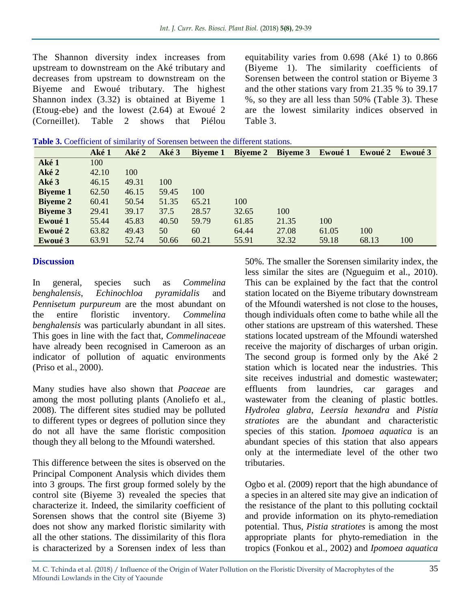The Shannon diversity index increases from upstream to downstream on the Aké tributary and decreases from upstream to downstream on the Biyeme and Ewoué tributary. The highest Shannon index (3.32) is obtained at Biyeme 1 (Etoug-ebe) and the lowest (2.64) at Ewoué 2 (Corneillet). Table 2 shows that Piélou equitability varies from 0.698 (Aké 1) to 0.866 (Biyeme 1). The similarity coefficients of Sorensen between the control station or Biyeme 3 and the other stations vary from 21.35 % to 39.17 %, so they are all less than 50% (Table 3). These are the lowest similarity indices observed in Table 3.

| Table 3. Coefficient of similarity of Sorensen between the different stations. |
|--------------------------------------------------------------------------------|
|--------------------------------------------------------------------------------|

|                 | Aké 1 | Aké 2 | Aké 3 |       | Biyeme 1 Biyeme 2 Biyeme 3 Ewoué 1 |       |       | Ewoué 2 Ewoué 3 |     |
|-----------------|-------|-------|-------|-------|------------------------------------|-------|-------|-----------------|-----|
| Aké 1           | 100   |       |       |       |                                    |       |       |                 |     |
| Aké 2           | 42.10 | 100   |       |       |                                    |       |       |                 |     |
| Aké 3           | 46.15 | 49.31 | 100   |       |                                    |       |       |                 |     |
| <b>Biyeme 1</b> | 62.50 | 46.15 | 59.45 | 100   |                                    |       |       |                 |     |
| <b>Biyeme 2</b> | 60.41 | 50.54 | 51.35 | 65.21 | 100                                |       |       |                 |     |
| <b>Biyeme 3</b> | 29.41 | 39.17 | 37.5  | 28.57 | 32.65                              | 100   |       |                 |     |
| Ewoué 1         | 55.44 | 45.83 | 40.50 | 59.79 | 61.85                              | 21.35 | 100   |                 |     |
| Ewoué 2         | 63.82 | 49.43 | 50    | 60    | 64.44                              | 27.08 | 61.05 | 100             |     |
| Ewoué 3         | 63.91 | 52.74 | 50.66 | 60.21 | 55.91                              | 32.32 | 59.18 | 68.13           | 100 |

#### **Discussion**

In general, species such as *Commelina benghalensis*, *Echinochloa pyramidalis* and *Pennisetum purpureum* are the most abundant on the entire floristic inventory. *Commelina benghalensis* was particularly abundant in all sites. This goes in line with the fact that, *Commelinaceae* have already been recognised in Cameroon as an indicator of pollution of aquatic environments (Priso et al., 2000).

Many studies have also shown that *Poaceae* are among the most polluting plants (Anoliefo et al., 2008). The different sites studied may be polluted to different types or degrees of pollution since they do not all have the same floristic composition though they all belong to the Mfoundi watershed.

This difference between the sites is observed on the Principal Component Analysis which divides them into 3 groups. The first group formed solely by the control site (Biyeme 3) revealed the species that characterize it. Indeed, the similarity coefficient of Sorensen shows that the control site (Biyeme 3) does not show any marked floristic similarity with all the other stations. The dissimilarity of this flora is characterized by a Sorensen index of less than

50%. The smaller the Sorensen similarity index, the less similar the sites are (Ngueguim et al., 2010). This can be explained by the fact that the control station located on the Biyeme tributary downstream of the Mfoundi watershed is not close to the houses, though individuals often come to bathe while all the other stations are upstream of this watershed. These stations located upstream of the Mfoundi watershed receive the majority of discharges of urban origin. The second group is formed only by the Aké 2 station which is located near the industries. This site receives industrial and domestic wastewater; effluents from laundries, car garages and wastewater from the cleaning of plastic bottles. *Hydrolea glabra*, *Leersia hexandra* and *Pistia stratiotes* are the abundant and characteristic species of this station*. Ipomoea aquatica* is an abundant species of this station that also appears only at the intermediate level of the other two tributaries.

Ogbo et al. (2009) report that the high abundance of a species in an altered site may give an indication of the resistance of the plant to this polluting cocktail and provide information on its phyto-remediation potential. Thus, *Pistia stratiotes* is among the most appropriate plants for phyto-remediation in the tropics (Fonkou et al., 2002) and *Ipomoea aquatica*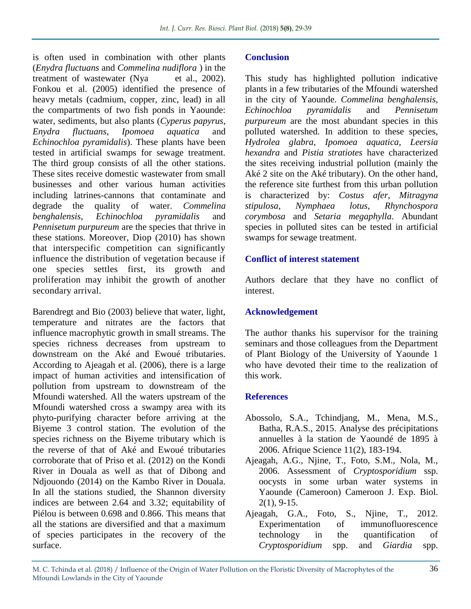is often used in combination with other plants (*Enydra fluctuans* and *Commelina nudiflora* ) in the treatment of wastewater (Nya et al., 2002). Fonkou et al. (2005) identified the presence of heavy metals (cadmium, copper, zinc, lead) in all the compartments of two fish ponds in Yaounde: water, sediments, but also plants (*Cyperus papyrus*, *Enydra fluctuans*, *Ipomoea aquatica* and *Echinochloa pyramidalis*). These plants have been tested in artificial swamps for sewage treatment. The third group consists of all the other stations. These sites receive domestic wastewater from small businesses and other various human activities including latrines-cannons that contaminate and degrade the quality of water. *Commelina benghalensis*, *Echinochloa pyramidalis* and *Pennisetum purpureum* are the species that thrive in these stations. Moreover, Diop (2010) has shown that interspecific competition can significantly influence the distribution of vegetation because if one species settles first, its growth and proliferation may inhibit the growth of another secondary arrival.

Barendregt and Bio (2003) believe that water, light, temperature and nitrates are the factors that influence macrophytic growth in small streams. The species richness decreases from upstream to downstream on the Aké and Ewoué tributaries. According to Ajeagah et al. (2006), there is a large impact of human activities and intensification of pollution from upstream to downstream of the Mfoundi watershed. All the waters upstream of the Mfoundi watershed cross a swampy area with its phyto-purifying character before arriving at the Biyeme 3 control station. The evolution of the species richness on the Biyeme tributary which is the reverse of that of Aké and Ewoué tributaries corroborate that of Priso et al. (2012) on the Kondi River in Douala as well as that of Dibong and Ndjouondo (2014) on the Kambo River in Douala. In all the stations studied, the Shannon diversity indices are between 2.64 and 3.32; equitability of Piélou is between 0.698 and 0.866. This means that all the stations are diversified and that a maximum of species participates in the recovery of the surface.

#### **Conclusion**

This study has highlighted pollution indicative plants in a few tributaries of the Mfoundi watershed in the city of Yaounde. *Commelina benghalensis*, *Echinochloa pyramidalis* and *Pennisetum purpureum* are the most abundant species in this polluted watershed. In addition to these species, *Hydrolea glabra*, *Ipomoea aquatica*, *Leersia hexandra* and *Pistia stratiotes* have characterized the sites receiving industrial pollution (mainly the Aké 2 site on the Aké tributary). On the other hand, the reference site furthest from this urban pollution is characterized by: *Costus afer*, *Mitragyna stipulosa*, *Nymphaea lotus*, *Rhynchospora corymbosa* and *Setaria megaphylla*. Abundant species in polluted sites can be tested in artificial swamps for sewage treatment.

### **Conflict of interest statement**

Authors declare that they have no conflict of interest.

#### **Acknowledgement**

The author thanks his supervisor for the training seminars and those colleagues from the Department of Plant Biology of the University of Yaounde 1 who have devoted their time to the realization of this work.

#### **References**

- Abossolo, S.A., Tchindjang, M., Mena, M.S., Batha, R.A.S., 2015. Analyse des précipitations annuelles à la station de Yaoundé de 1895 à 2006. Afrique Science 11(2), 183-194.
- Ajeagah, A.G., Njine, T., Foto, S.M., Nola, M., 2006. Assessment of *Cryptosporidium* ssp. oocysts in some urban water systems in Yaounde (Cameroon) Cameroon J. Exp. Biol. 2(1), 9-15.
- Ajeagah, G.A., Foto, S., Njine, T., 2012. Experimentation of immunofluorescence technology in the quantification of *Cryptosporidium* spp. and *Giardia* spp.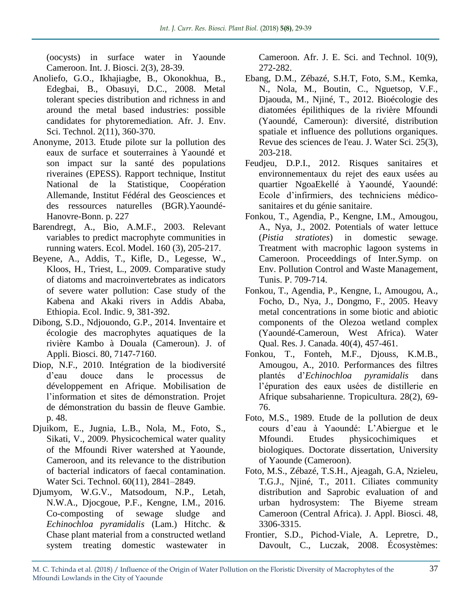(oocysts) in surface water in Yaounde Cameroon. Int. J. Biosci. 2(3), 28-39.

- Anoliefo, G.O., Ikhajiagbe, B., Okonokhua, B., Edegbai, B., Obasuyi, D.C., 2008. Metal tolerant species distribution and richness in and around the metal based industries: possible candidates for phytoremediation. Afr. J. Env. Sci. Technol. 2(11), 360-370.
- Anonyme, 2013. Etude pilote sur la pollution des eaux de surface et souterraines à Yaoundé et son impact sur la santé des populations riveraines (EPESS). Rapport technique, Institut National de la Statistique, Coopération Allemande, Institut Fédéral des Geosciences et des ressources naturelles (BGR).Yaoundé-Hanovre-Bonn. p. 227
- Barendregt, A., Bio, A.M.F., 2003. Relevant variables to predict macrophyte communities in running waters. Ecol. Model. 160 (3), 205-217.
- Beyene, A., Addis, T., Kifle, D., Legesse, W., Kloos, H., Triest, L., 2009. Comparative study of diatoms and macroinvertebrates as indicators of severe water pollution: Case study of the Kabena and Akaki rivers in Addis Ababa, Ethiopia. Ecol. Indic. 9, 381-392.
- Dibong, S.D., Ndjouondo, G.P., 2014. Inventaire et écologie des macrophytes aquatiques de la rivière Kambo à Douala (Cameroun). J. of Appli. Biosci. 80, 7147-7160.
- Diop, N.F., 2010. Intégration de la biodiversité d'eau douce dans le processus de développement en Afrique. Mobilisation de l'information et sites de démonstration. Projet de démonstration du bassin de fleuve Gambie. p. 48.
- Djuikom, E., Jugnia, L.B., Nola, M., Foto, S., Sikati, V., 2009. Physicochemical water quality of the Mfoundi River watershed at Yaounde, Cameroon, and its relevance to the distribution of bacterial indicators of faecal contamination. Water Sci. Technol. 60(11), 2841–2849.
- Djumyom, W.G.V., Matsodoum, N.P., Letah, N.W.A., Djocgoue, P.F., Kengne, I.M., 2016. Co-composting of sewage sludge and *Echinochloa pyramidalis* (Lam.) Hitchc. & Chase plant material from a constructed wetland system treating domestic wastewater in

Cameroon. Afr. J. E. Sci. and Technol. 10(9), 272-282.

- Ebang, D.M., Zébazé, S.H.T, Foto, S.M., Kemka, N., Nola, M., Boutin, C., Nguetsop, V.F., Djaouda, M., Njiné, T., 2012. Bioécologie des diatomées épilithiques de la rivière Mfoundi (Yaoundé, Cameroun): diversité, distribution spatiale et influence des pollutions organiques. Revue des sciences de l'eau. J. Water Sci. 25(3), 203-218.
- Feudjeu, D.P.I., 2012. Risques sanitaires et environnementaux du rejet des eaux usées au quartier NgoaEkellé à Yaoundé, Yaoundé: Ecole d'infirmiers, des techniciens médicosanitaires et du génie sanitaire.
- Fonkou, T., Agendia, P., Kengne, I.M., Amougou, A., Nya, J., 2002. Potentials of water lettuce (*Pistia stratiotes*) in domestic sewage. Treatment with macrophic lagoon systems in Cameroon. Proceeddings of Inter.Symp. on Env. Pollution Control and Waste Management, Tunis. P. 709-714.
- Fonkou, T., Agendia, P., Kengne, I., Amougou, A., Focho, D., Nya, J., Dongmo, F., 2005. Heavy metal concentrations in some biotic and abiotic components of the Olezoa wetland complex (Yaoundé-Cameroun, West Africa). Water Qual. Res. J. Canada. 40(4), 457-461.
- Fonkou, T., Fonteh, M.F., Djouss, K.M.B., Amougou, A., 2010. Performances des filtres plantés d'*Echinochloa pyramidalis* dans l'épuration des eaux usées de distillerie en Afrique subsaharienne. Tropicultura. 28(2), 69- 76.
- Foto, M.S., 1989. Etude de la pollution de deux cours d'eau à Yaoundé: L'Abiergue et le Mfoundi. Etudes physicochimiques et biologiques. Doctorate dissertation, University of Yaounde (Cameroon).
- Foto, M.S., Zébazé, T.S.H., Ajeagah, G.A, Nzieleu, T.G.J., Njiné, T., 2011. Ciliates community distribution and Saprobic evaluation of and urban hydrosystem: The Biyeme stream Cameroon (Central Africa). J. Appl. Biosci. 48, 3306-3315.
- Frontier, S.D., Pichod-Viale, A. Lepretre, D., Davoult, C., Luczak, 2008. Écosystèmes: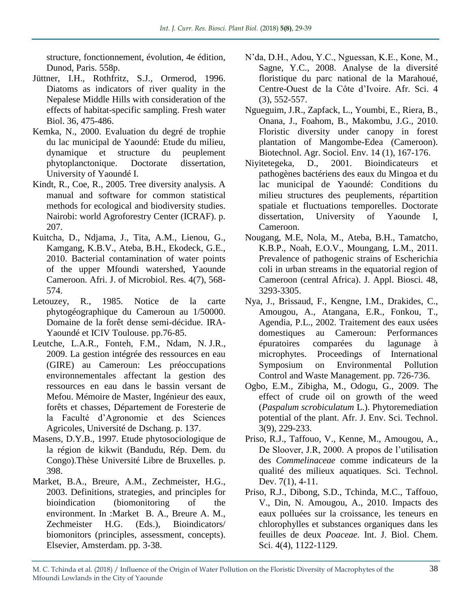structure, fonctionnement, évolution, 4e édition, Dunod, Paris. 558p.

- Jüttner, I.H., Rothfritz, S.J., Ormerod, 1996. Diatoms as indicators of river quality in the Nepalese Middle Hills with consideration of the effects of habitat-specific sampling. Fresh water Biol. 36, 475-486.
- Kemka, N., 2000. Evaluation du degré de trophie du lac municipal de Yaoundé: Etude du milieu, dynamique et structure du peuplement phytoplanctonique. Doctorate dissertation, University of Yaoundé I.
- Kindt, R., Coe, R., 2005. Tree diversity analysis. A manual and software for common statistical methods for ecological and biodiversity studies. Nairobi: world Agroforestry Center (ICRAF). p. 207.
- Kuitcha, D., Ndjama, J., Tita, A.M., Lienou, G., Kamgang, K.B.V., Ateba, B.H., Ekodeck, G.E., 2010. Bacterial contamination of water points of the upper Mfoundi watershed, Yaounde Cameroon. Afri. J. of Microbiol. Res. 4(7), 568- 574.
- Letouzey, R., 1985. Notice de la carte phytogéographique du Cameroun au 1/50000. Domaine de la forêt dense semi-décidue. IRA-Yaoundé et ICIV Toulouse. pp.76-85.
- Leutche, L.A.R., Fonteh, F.M., Ndam, N. J.R., 2009. La gestion intégrée des ressources en eau (GIRE) au Cameroun: Les préoccupations environnementales affectant la gestion des ressources en eau dans le bassin versant de Mefou. Mémoire de Master, Ingénieur des eaux, forêts et chasses, Département de Foresterie de la Faculté d'Agronomie et des Sciences Agricoles, Université de Dschang. p. 137.
- Masens, D.Y.B., 1997. Etude phytosociologique de la région de kikwit (Bandudu, Rép. Dem. du Congo).Thèse Université Libre de Bruxelles. p. 398.
- Market, B.A., Breure, A.M., Zechmeister, H.G., 2003. Definitions, strategies, and principles for bioindication (biomonitoring of the environment. In :Market B. A., Breure A. M., Zechmeister H.G. (Eds.), Bioindicators/ biomonitors (principles, assessment, concepts). Elsevier, Amsterdam. pp. 3-38.
- N'da, D.H., Adou, Y.C., Nguessan, K.E., Kone, M., Sagne, Y.C., 2008. Analyse de la diversité floristique du parc national de la Marahoué, Centre-Ouest de la Côte d'Ivoire. Afr. Sci. 4 (3), 552-557.
- Ngueguim, J.R., Zapfack, L., Youmbi, E., Riera, B., Onana, J., Foahom, B., Makombu, J.G., 2010. Floristic diversity under canopy in forest plantation of Mangombe-Edea (Cameroon). Biotechnol. Agr. Sociol. Env. 14 (1), 167-176.
- Niyitetegeka, D., 2001. Bioindicateurs et pathogènes bactériens des eaux du Mingoa et du lac municipal de Yaoundé: Conditions du milieu structures des peuplements, répartition spatiale et fluctuations temporelles. Doctorate dissertation, University of Yaounde I, Cameroon.
- Nougang, M.E, Nola, M., Ateba, B.H., Tamatcho, K.B.P., Noah, E.O.V., Moungang, L.M., 2011. Prevalence of pathogenic strains of Escherichia coli in urban streams in the equatorial region of Cameroon (central Africa). J. Appl. Biosci. 48, 3293-3305.
- Nya, J., Brissaud, F., Kengne, I.M., Drakides, C., Amougou, A., Atangana, E.R., Fonkou, T., Agendia, P.L., 2002. Traitement des eaux usées domestiques au Cameroun: Performances épuratoires comparées du lagunage à microphytes. Proceedings of International Symposium on Environmental Pollution Control and Waste Management. pp. 726-736.
- Ogbo, E.M., Zibigha, M., Odogu, G., 2009. The effect of crude oil on growth of the weed (*Paspalum scrobiculatum* L.). Phytoremediation potential of the plant. Afr. J. Env. Sci. Technol. 3(9), 229-233.
- Priso, R.J., Taffouo, V., Kenne, M., Amougou, A., De Sloover, J.R, 2000. A propos de l'utilisation des *Commelinaceae* comme indicateurs de la qualité des milieux aquatiques. Sci. Technol. Dev. 7(1), 4-11.
- Priso, R.J., Dibong, S.D., Tchinda, M.C., Taffouo, V., Din, N. Amougou, A., 2010. Impacts des eaux polluées sur la croissance, les teneurs en chlorophylles et substances organiques dans les feuilles de deux *Poaceae*. Int. J. Biol. Chem. Sci. 4(4), 1122-1129.